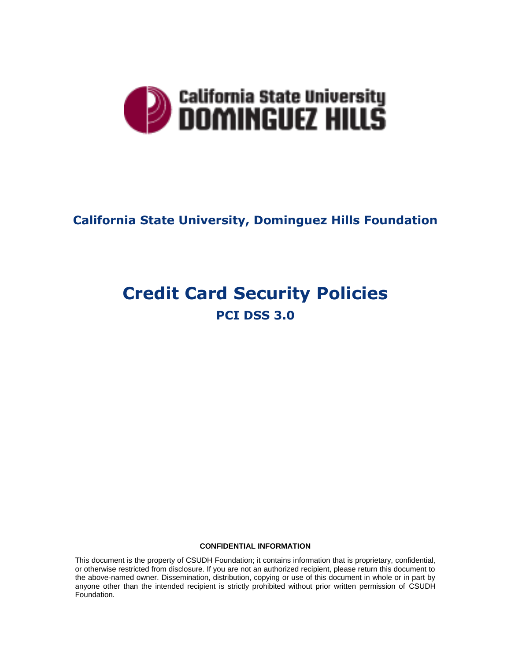

# **California State University, Dominguez Hills Foundation**

# **Credit Card Security Policies PCI DSS 3.0**

#### **CONFIDENTIAL INFORMATION**

This document is the property of CSUDH Foundation; it contains information that is proprietary, confidential, or otherwise restricted from disclosure. If you are not an authorized recipient, please return this document to the above-named owner. Dissemination, distribution, copying or use of this document in whole or in part by anyone other than the intended recipient is strictly prohibited without prior written permission of CSUDH Foundation.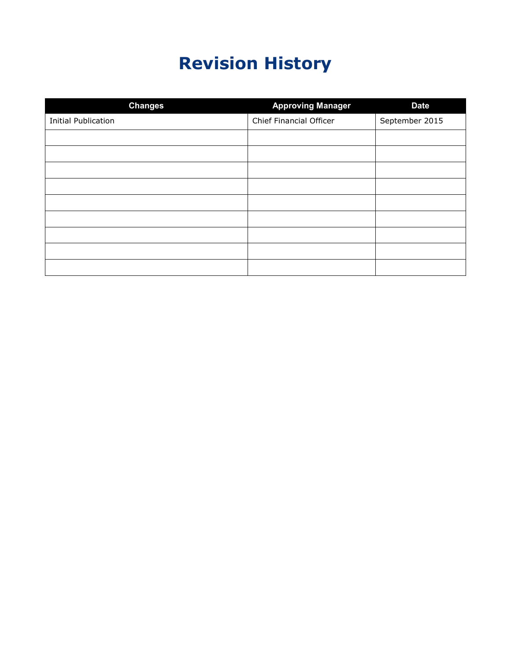# **Revision History**

| <b>Changes</b>             | <b>Approving Manager</b> | <b>Date</b>    |
|----------------------------|--------------------------|----------------|
| <b>Initial Publication</b> | Chief Financial Officer  | September 2015 |
|                            |                          |                |
|                            |                          |                |
|                            |                          |                |
|                            |                          |                |
|                            |                          |                |
|                            |                          |                |
|                            |                          |                |
|                            |                          |                |
|                            |                          |                |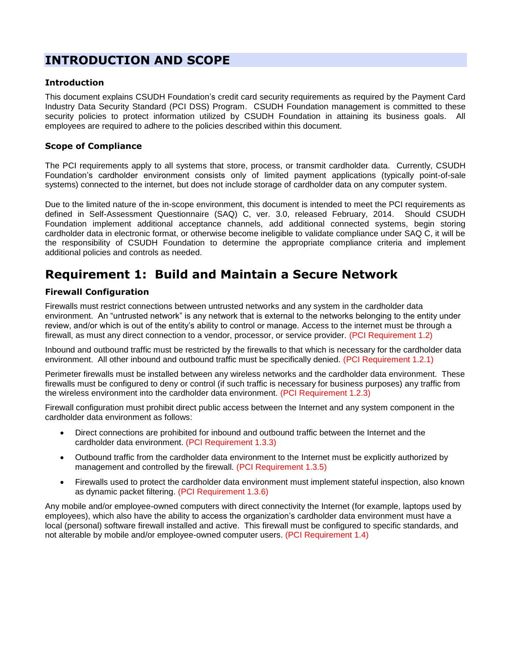### **INTRODUCTION AND SCOPE**

### **Introduction**

This document explains CSUDH Foundation's credit card security requirements as required by the Payment Card Industry Data Security Standard (PCI DSS) Program. CSUDH Foundation management is committed to these security policies to protect information utilized by CSUDH Foundation in attaining its business goals. All employees are required to adhere to the policies described within this document.

### **Scope of Compliance**

The PCI requirements apply to all systems that store, process, or transmit cardholder data. Currently, CSUDH Foundation's cardholder environment consists only of limited payment applications (typically point-of-sale systems) connected to the internet, but does not include storage of cardholder data on any computer system.

Due to the limited nature of the in-scope environment, this document is intended to meet the PCI requirements as defined in Self-Assessment Questionnaire (SAQ) C, ver. 3.0, released February, 2014. Should CSUDH Foundation implement additional acceptance channels, add additional connected systems, begin storing cardholder data in electronic format, or otherwise become ineligible to validate compliance under SAQ C, it will be the responsibility of CSUDH Foundation to determine the appropriate compliance criteria and implement additional policies and controls as needed.

### **Requirement 1: Build and Maintain a Secure Network**

### **Firewall Configuration**

Firewalls must restrict connections between untrusted networks and any system in the cardholder data environment. An "untrusted network" is any network that is external to the networks belonging to the entity under review, and/or which is out of the entity's ability to control or manage. Access to the internet must be through a firewall, as must any direct connection to a vendor, processor, or service provider. (PCI Requirement 1.2)

Inbound and outbound traffic must be restricted by the firewalls to that which is necessary for the cardholder data environment. All other inbound and outbound traffic must be specifically denied. (PCI Requirement 1.2.1)

Perimeter firewalls must be installed between any wireless networks and the cardholder data environment. These firewalls must be configured to deny or control (if such traffic is necessary for business purposes) any traffic from the wireless environment into the cardholder data environment. (PCI Requirement 1.2.3)

Firewall configuration must prohibit direct public access between the Internet and any system component in the cardholder data environment as follows:

- Direct connections are prohibited for inbound and outbound traffic between the Internet and the cardholder data environment. (PCI Requirement 1.3.3)
- Outbound traffic from the cardholder data environment to the Internet must be explicitly authorized by management and controlled by the firewall. (PCI Requirement 1.3.5)
- Firewalls used to protect the cardholder data environment must implement stateful inspection, also known as dynamic packet filtering. (PCI Requirement 1.3.6)

Any mobile and/or employee-owned computers with direct connectivity the Internet (for example, laptops used by employees), which also have the ability to access the organization's cardholder data environment must have a local (personal) software firewall installed and active. This firewall must be configured to specific standards, and not alterable by mobile and/or employee-owned computer users. (PCI Requirement 1.4)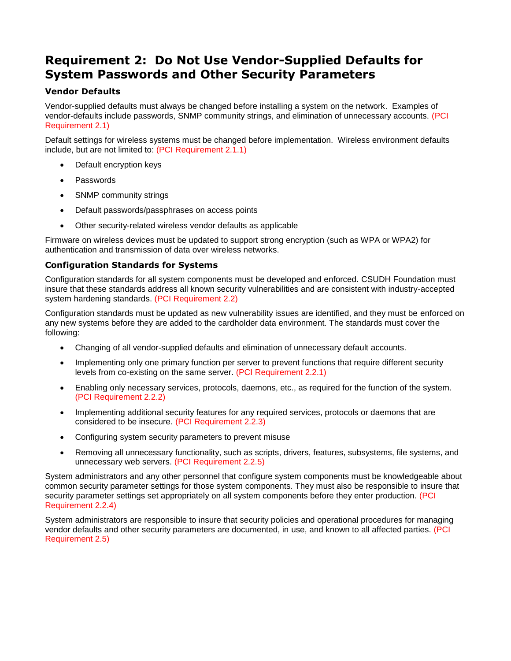### **Requirement 2: Do Not Use Vendor-Supplied Defaults for System Passwords and Other Security Parameters**

### **Vendor Defaults**

Vendor-supplied defaults must always be changed before installing a system on the network. Examples of vendor-defaults include passwords, SNMP community strings, and elimination of unnecessary accounts. (PCI Requirement 2.1)

Default settings for wireless systems must be changed before implementation. Wireless environment defaults include, but are not limited to: (PCI Requirement 2.1.1)

- Default encryption keys
- Passwords
- SNMP community strings
- Default passwords/passphrases on access points
- Other security-related wireless vendor defaults as applicable

Firmware on wireless devices must be updated to support strong encryption (such as WPA or WPA2) for authentication and transmission of data over wireless networks.

### **Configuration Standards for Systems**

Configuration standards for all system components must be developed and enforced. CSUDH Foundation must insure that these standards address all known security vulnerabilities and are consistent with industry-accepted system hardening standards. (PCI Requirement 2.2)

Configuration standards must be updated as new vulnerability issues are identified, and they must be enforced on any new systems before they are added to the cardholder data environment. The standards must cover the following:

- Changing of all vendor-supplied defaults and elimination of unnecessary default accounts.
- Implementing only one primary function per server to prevent functions that require different security levels from co-existing on the same server. (PCI Requirement 2.2.1)
- Enabling only necessary services, protocols, daemons, etc., as required for the function of the system. (PCI Requirement 2.2.2)
- Implementing additional security features for any required services, protocols or daemons that are considered to be insecure. (PCI Requirement 2.2.3)
- Configuring system security parameters to prevent misuse
- Removing all unnecessary functionality, such as scripts, drivers, features, subsystems, file systems, and unnecessary web servers. (PCI Requirement 2.2.5)

System administrators and any other personnel that configure system components must be knowledgeable about common security parameter settings for those system components. They must also be responsible to insure that security parameter settings set appropriately on all system components before they enter production. (PCI Requirement 2.2.4)

System administrators are responsible to insure that security policies and operational procedures for managing vendor defaults and other security parameters are documented, in use, and known to all affected parties. (PCI Requirement 2.5)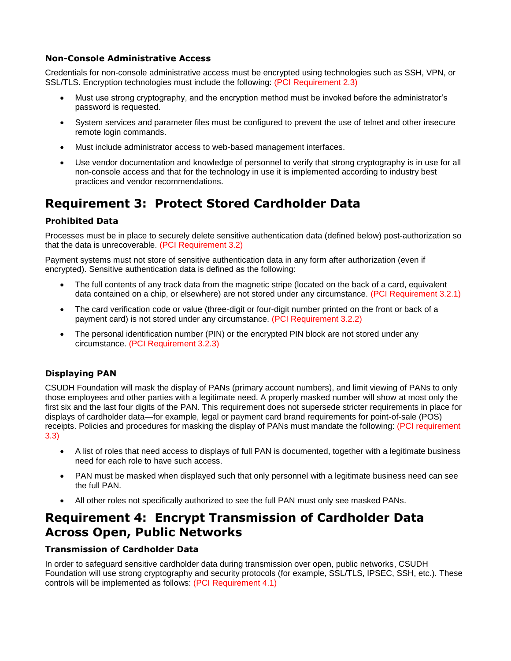### **Non-Console Administrative Access**

Credentials for non-console administrative access must be encrypted using technologies such as SSH, VPN, or SSL/TLS. Encryption technologies must include the following: (PCI Requirement 2.3)

- Must use strong cryptography, and the encryption method must be invoked before the administrator's password is requested.
- System services and parameter files must be configured to prevent the use of telnet and other insecure remote login commands.
- Must include administrator access to web-based management interfaces.
- Use vendor documentation and knowledge of personnel to verify that strong cryptography is in use for all non-console access and that for the technology in use it is implemented according to industry best practices and vendor recommendations.

# **Requirement 3: Protect Stored Cardholder Data**

### **Prohibited Data**

Processes must be in place to securely delete sensitive authentication data (defined below) post-authorization so that the data is unrecoverable. (PCI Requirement 3.2)

Payment systems must not store of sensitive authentication data in any form after authorization (even if encrypted). Sensitive authentication data is defined as the following:

- The full contents of any track data from the magnetic stripe (located on the back of a card, equivalent data contained on a chip, or elsewhere) are not stored under any circumstance. (PCI Requirement 3.2.1)
- The card verification code or value (three-digit or four-digit number printed on the front or back of a payment card) is not stored under any circumstance. (PCI Requirement 3.2.2)
- The personal identification number (PIN) or the encrypted PIN block are not stored under any circumstance. (PCI Requirement 3.2.3)

### **Displaying PAN**

CSUDH Foundation will mask the display of PANs (primary account numbers), and limit viewing of PANs to only those employees and other parties with a legitimate need. A properly masked number will show at most only the first six and the last four digits of the PAN. This requirement does not supersede stricter requirements in place for displays of cardholder data—for example, legal or payment card brand requirements for point-of-sale (POS) receipts. Policies and procedures for masking the display of PANs must mandate the following: (PCI requirement 3.3)

- A list of roles that need access to displays of full PAN is documented, together with a legitimate business need for each role to have such access.
- PAN must be masked when displayed such that only personnel with a legitimate business need can see the full PAN.
- All other roles not specifically authorized to see the full PAN must only see masked PANs.

### **Requirement 4: Encrypt Transmission of Cardholder Data Across Open, Public Networks**

### **Transmission of Cardholder Data**

In order to safeguard sensitive cardholder data during transmission over open, public networks, CSUDH Foundation will use strong cryptography and security protocols (for example, SSL/TLS, IPSEC, SSH, etc.). These controls will be implemented as follows: (PCI Requirement 4.1)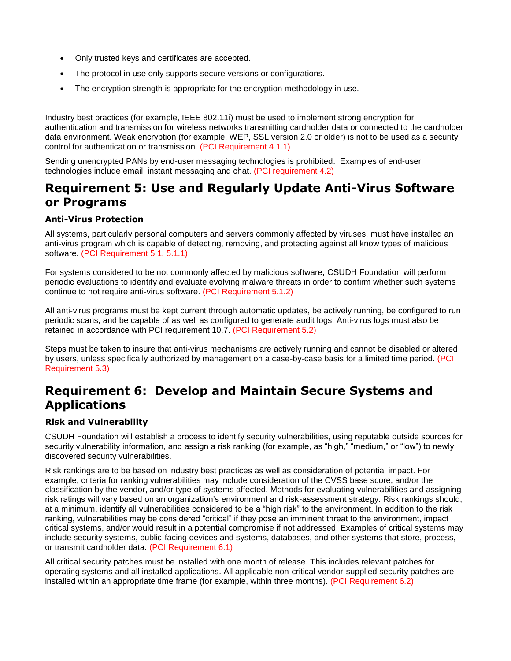- Only trusted keys and certificates are accepted.
- The protocol in use only supports secure versions or configurations.
- The encryption strength is appropriate for the encryption methodology in use.

Industry best practices (for example, IEEE 802.11i) must be used to implement strong encryption for authentication and transmission for wireless networks transmitting cardholder data or connected to the cardholder data environment. Weak encryption (for example, WEP, SSL version 2.0 or older) is not to be used as a security control for authentication or transmission. (PCI Requirement 4.1.1)

Sending unencrypted PANs by end-user messaging technologies is prohibited. Examples of end-user technologies include email, instant messaging and chat. (PCI requirement 4.2)

### **Requirement 5: Use and Regularly Update Anti-Virus Software or Programs**

### **Anti-Virus Protection**

All systems, particularly personal computers and servers commonly affected by viruses, must have installed an anti-virus program which is capable of detecting, removing, and protecting against all know types of malicious software. (PCI Requirement 5.1, 5.1.1)

For systems considered to be not commonly affected by malicious software, CSUDH Foundation will perform periodic evaluations to identify and evaluate evolving malware threats in order to confirm whether such systems continue to not require anti-virus software. (PCI Requirement 5.1.2)

All anti-virus programs must be kept current through automatic updates, be actively running, be configured to run periodic scans, and be capable of as well as configured to generate audit logs. Anti-virus logs must also be retained in accordance with PCI requirement 10.7. (PCI Requirement 5.2)

Steps must be taken to insure that anti-virus mechanisms are actively running and cannot be disabled or altered by users, unless specifically authorized by management on a case-by-case basis for a limited time period. (PCI Requirement 5.3)

### **Requirement 6: Develop and Maintain Secure Systems and Applications**

### **Risk and Vulnerability**

CSUDH Foundation will establish a process to identify security vulnerabilities, using reputable outside sources for security vulnerability information, and assign a risk ranking (for example, as "high," "medium," or "low") to newly discovered security vulnerabilities.

Risk rankings are to be based on industry best practices as well as consideration of potential impact. For example, criteria for ranking vulnerabilities may include consideration of the CVSS base score, and/or the classification by the vendor, and/or type of systems affected. Methods for evaluating vulnerabilities and assigning risk ratings will vary based on an organization's environment and risk-assessment strategy. Risk rankings should, at a minimum, identify all vulnerabilities considered to be a "high risk" to the environment. In addition to the risk ranking, vulnerabilities may be considered "critical" if they pose an imminent threat to the environment, impact critical systems, and/or would result in a potential compromise if not addressed. Examples of critical systems may include security systems, public-facing devices and systems, databases, and other systems that store, process, or transmit cardholder data. (PCI Requirement 6.1)

All critical security patches must be installed with one month of release. This includes relevant patches for operating systems and all installed applications. All applicable non-critical vendor-supplied security patches are installed within an appropriate time frame (for example, within three months). (PCI Requirement 6.2)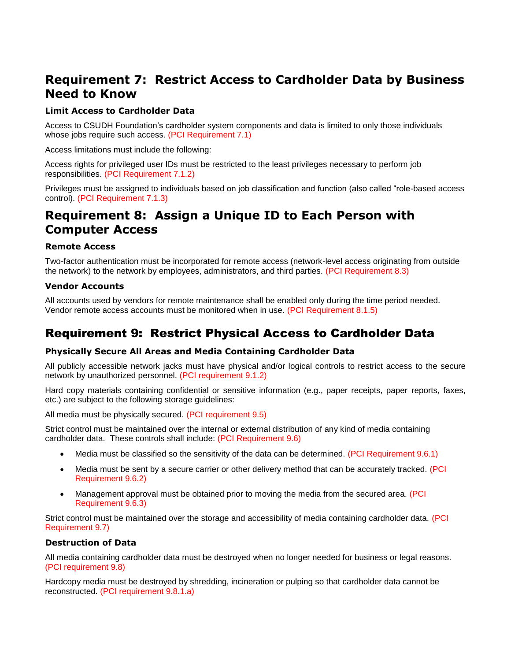## **Requirement 7: Restrict Access to Cardholder Data by Business Need to Know**

### **Limit Access to Cardholder Data**

Access to CSUDH Foundation's cardholder system components and data is limited to only those individuals whose jobs require such access. (PCI Requirement 7.1)

Access limitations must include the following:

Access rights for privileged user IDs must be restricted to the least privileges necessary to perform job responsibilities. (PCI Requirement 7.1.2)

Privileges must be assigned to individuals based on job classification and function (also called "role-based access control). (PCI Requirement 7.1.3)

### **Requirement 8: Assign a Unique ID to Each Person with Computer Access**

### **Remote Access**

Two-factor authentication must be incorporated for remote access (network-level access originating from outside the network) to the network by employees, administrators, and third parties. (PCI Requirement 8.3)

### **Vendor Accounts**

All accounts used by vendors for remote maintenance shall be enabled only during the time period needed. Vendor remote access accounts must be monitored when in use. (PCI Requirement 8.1.5)

### Requirement 9: Restrict Physical Access to Cardholder Data

### **Physically Secure All Areas and Media Containing Cardholder Data**

All publicly accessible network jacks must have physical and/or logical controls to restrict access to the secure network by unauthorized personnel. (PCI requirement 9.1.2)

Hard copy materials containing confidential or sensitive information (e.g., paper receipts, paper reports, faxes, etc.) are subject to the following storage guidelines:

All media must be physically secured. (PCI requirement 9.5)

Strict control must be maintained over the internal or external distribution of any kind of media containing cardholder data. These controls shall include: (PCI Requirement 9.6)

- Media must be classified so the sensitivity of the data can be determined. (PCI Requirement 9.6.1)
- Media must be sent by a secure carrier or other delivery method that can be accurately tracked. (PCI Requirement 9.6.2)
- Management approval must be obtained prior to moving the media from the secured area. (PCI Requirement 9.6.3)

Strict control must be maintained over the storage and accessibility of media containing cardholder data. (PCI Requirement 9.7)

### **Destruction of Data**

All media containing cardholder data must be destroyed when no longer needed for business or legal reasons. (PCI requirement 9.8)

Hardcopy media must be destroyed by shredding, incineration or pulping so that cardholder data cannot be reconstructed. (PCI requirement 9.8.1.a)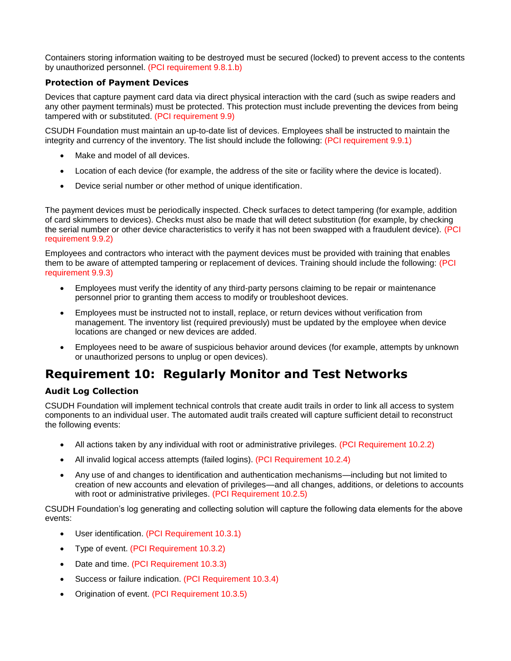Containers storing information waiting to be destroyed must be secured (locked) to prevent access to the contents by unauthorized personnel. (PCI requirement 9.8.1.b)

### **Protection of Payment Devices**

Devices that capture payment card data via direct physical interaction with the card (such as swipe readers and any other payment terminals) must be protected. This protection must include preventing the devices from being tampered with or substituted. (PCI requirement 9.9)

CSUDH Foundation must maintain an up-to-date list of devices. Employees shall be instructed to maintain the integrity and currency of the inventory. The list should include the following: (PCI requirement 9.9.1)

- Make and model of all devices.
- Location of each device (for example, the address of the site or facility where the device is located).
- Device serial number or other method of unique identification.

The payment devices must be periodically inspected. Check surfaces to detect tampering (for example, addition of card skimmers to devices). Checks must also be made that will detect substitution (for example, by checking the serial number or other device characteristics to verify it has not been swapped with a fraudulent device). (PCI requirement 9.9.2)

Employees and contractors who interact with the payment devices must be provided with training that enables them to be aware of attempted tampering or replacement of devices. Training should include the following: (PCI requirement 9.9.3)

- Employees must verify the identity of any third-party persons claiming to be repair or maintenance personnel prior to granting them access to modify or troubleshoot devices.
- Employees must be instructed not to install, replace, or return devices without verification from management. The inventory list (required previously) must be updated by the employee when device locations are changed or new devices are added.
- Employees need to be aware of suspicious behavior around devices (for example, attempts by unknown or unauthorized persons to unplug or open devices).

### **Requirement 10: Regularly Monitor and Test Networks**

### **Audit Log Collection**

CSUDH Foundation will implement technical controls that create audit trails in order to link all access to system components to an individual user. The automated audit trails created will capture sufficient detail to reconstruct the following events:

- All actions taken by any individual with root or administrative privileges. (PCI Requirement 10.2.2)
- All invalid logical access attempts (failed logins). (PCI Requirement 10.2.4)
- Any use of and changes to identification and authentication mechanisms—including but not limited to creation of new accounts and elevation of privileges—and all changes, additions, or deletions to accounts with root or administrative privileges. (PCI Requirement 10.2.5)

CSUDH Foundation's log generating and collecting solution will capture the following data elements for the above events:

- User identification. (PCI Requirement 10.3.1)
- Type of event. (PCI Requirement 10.3.2)
- Date and time. (PCI Requirement 10.3.3)
- Success or failure indication. (PCI Requirement 10.3.4)
- Origination of event. (PCI Requirement 10.3.5)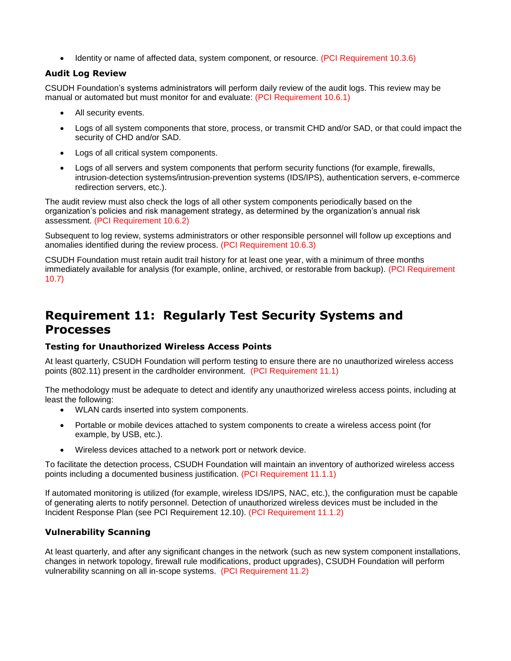• Identity or name of affected data, system component, or resource. (PCI Requirement 10.3.6)

### **Audit Log Review**

CSUDH Foundation's systems administrators will perform daily review of the audit logs. This review may be manual or automated but must monitor for and evaluate: (PCI Requirement 10.6.1)

- All security events.
- Logs of all system components that store, process, or transmit CHD and/or SAD, or that could impact the security of CHD and/or SAD.
- Logs of all critical system components.
- Logs of all servers and system components that perform security functions (for example, firewalls, intrusion-detection systems/intrusion-prevention systems (IDS/IPS), authentication servers, e-commerce redirection servers, etc.).

The audit review must also check the logs of all other system components periodically based on the organization's policies and risk management strategy, as determined by the organization's annual risk assessment. (PCI Requirement 10.6.2)

Subsequent to log review, systems administrators or other responsible personnel will follow up exceptions and anomalies identified during the review process. (PCI Requirement 10.6.3)

CSUDH Foundation must retain audit trail history for at least one year, with a minimum of three months immediately available for analysis (for example, online, archived, or restorable from backup). (PCI Requirement 10.7)

## **Requirement 11: Regularly Test Security Systems and Processes**

### **Testing for Unauthorized Wireless Access Points**

At least quarterly, CSUDH Foundation will perform testing to ensure there are no unauthorized wireless access points (802.11) present in the cardholder environment. (PCI Requirement 11.1)

The methodology must be adequate to detect and identify any unauthorized wireless access points, including at least the following:

- WLAN cards inserted into system components.
- Portable or mobile devices attached to system components to create a wireless access point (for example, by USB, etc.).
- Wireless devices attached to a network port or network device.

To facilitate the detection process, CSUDH Foundation will maintain an inventory of authorized wireless access points including a documented business justification. (PCI Requirement 11.1.1)

If automated monitoring is utilized (for example, wireless IDS/IPS, NAC, etc.), the configuration must be capable of generating alerts to notify personnel. Detection of unauthorized wireless devices must be included in the Incident Response Plan (see PCI Requirement 12.10). (PCI Requirement 11.1.2)

### **Vulnerability Scanning**

At least quarterly, and after any significant changes in the network (such as new system component installations, changes in network topology, firewall rule modifications, product upgrades), CSUDH Foundation will perform vulnerability scanning on all in-scope systems. (PCI Requirement 11.2)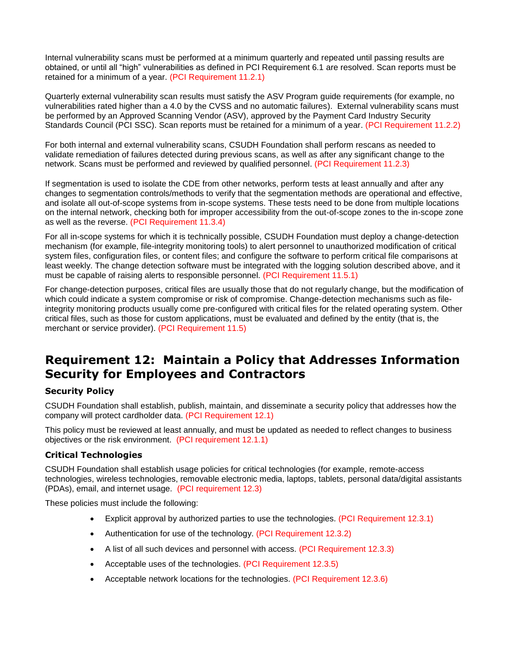Internal vulnerability scans must be performed at a minimum quarterly and repeated until passing results are obtained, or until all "high" vulnerabilities as defined in PCI Requirement 6.1 are resolved. Scan reports must be retained for a minimum of a year. (PCI Requirement 11.2.1)

Quarterly external vulnerability scan results must satisfy the ASV Program guide requirements (for example, no vulnerabilities rated higher than a 4.0 by the CVSS and no automatic failures). External vulnerability scans must be performed by an Approved Scanning Vendor (ASV), approved by the Payment Card Industry Security Standards Council (PCI SSC). Scan reports must be retained for a minimum of a year. (PCI Requirement 11.2.2)

For both internal and external vulnerability scans, CSUDH Foundation shall perform rescans as needed to validate remediation of failures detected during previous scans, as well as after any significant change to the network. Scans must be performed and reviewed by qualified personnel. (PCI Requirement 11.2.3)

If segmentation is used to isolate the CDE from other networks, perform tests at least annually and after any changes to segmentation controls/methods to verify that the segmentation methods are operational and effective, and isolate all out-of-scope systems from in-scope systems. These tests need to be done from multiple locations on the internal network, checking both for improper accessibility from the out-of-scope zones to the in-scope zone as well as the reverse. (PCI Requirement 11.3.4)

For all in-scope systems for which it is technically possible, CSUDH Foundation must deploy a change-detection mechanism (for example, file-integrity monitoring tools) to alert personnel to unauthorized modification of critical system files, configuration files, or content files; and configure the software to perform critical file comparisons at least weekly. The change detection software must be integrated with the logging solution described above, and it must be capable of raising alerts to responsible personnel. (PCI Requirement 11.5.1)

For change-detection purposes, critical files are usually those that do not regularly change, but the modification of which could indicate a system compromise or risk of compromise. Change-detection mechanisms such as fileintegrity monitoring products usually come pre-configured with critical files for the related operating system. Other critical files, such as those for custom applications, must be evaluated and defined by the entity (that is, the merchant or service provider). (PCI Requirement 11.5)

### **Requirement 12: Maintain a Policy that Addresses Information Security for Employees and Contractors**

### **Security Policy**

CSUDH Foundation shall establish, publish, maintain, and disseminate a security policy that addresses how the company will protect cardholder data. (PCI Requirement 12.1)

This policy must be reviewed at least annually, and must be updated as needed to reflect changes to business objectives or the risk environment. (PCI requirement 12.1.1)

### **Critical Technologies**

CSUDH Foundation shall establish usage policies for critical technologies (for example, remote-access technologies, wireless technologies, removable electronic media, laptops, tablets, personal data/digital assistants (PDAs), email, and internet usage. (PCI requirement 12.3)

These policies must include the following:

- Explicit approval by authorized parties to use the technologies. (PCI Requirement 12.3.1)
- Authentication for use of the technology. (PCI Requirement 12.3.2)
- A list of all such devices and personnel with access. (PCI Requirement 12.3.3)
- Acceptable uses of the technologies. (PCI Requirement 12.3.5)
- Acceptable network locations for the technologies. (PCI Requirement 12.3.6)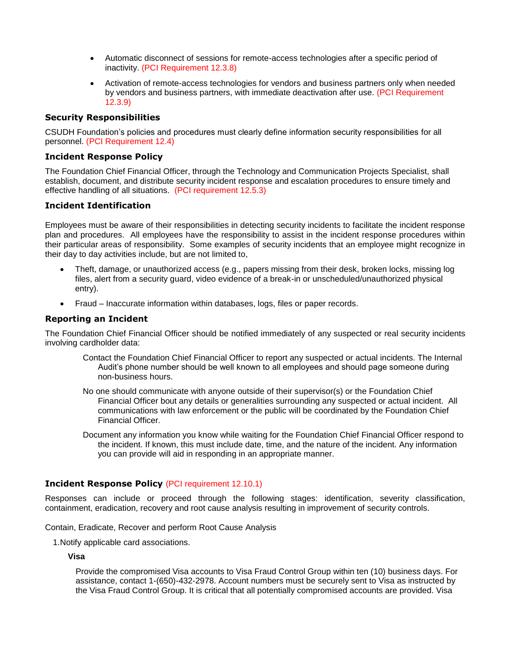- Automatic disconnect of sessions for remote-access technologies after a specific period of inactivity. (PCI Requirement 12.3.8)
- Activation of remote-access technologies for vendors and business partners only when needed by vendors and business partners, with immediate deactivation after use. (PCI Requirement 12.3.9)

### **Security Responsibilities**

CSUDH Foundation's policies and procedures must clearly define information security responsibilities for all personnel. (PCI Requirement 12.4)

### **Incident Response Policy**

The Foundation Chief Financial Officer, through the Technology and Communication Projects Specialist, shall establish, document, and distribute security incident response and escalation procedures to ensure timely and effective handling of all situations. (PCI requirement 12.5.3)

### **Incident Identification**

Employees must be aware of their responsibilities in detecting security incidents to facilitate the incident response plan and procedures. All employees have the responsibility to assist in the incident response procedures within their particular areas of responsibility. Some examples of security incidents that an employee might recognize in their day to day activities include, but are not limited to,

- Theft, damage, or unauthorized access (e.g., papers missing from their desk, broken locks, missing log files, alert from a security guard, video evidence of a break-in or unscheduled/unauthorized physical entry).
- Fraud Inaccurate information within databases, logs, files or paper records.

### **Reporting an Incident**

The Foundation Chief Financial Officer should be notified immediately of any suspected or real security incidents involving cardholder data:

- Contact the Foundation Chief Financial Officer to report any suspected or actual incidents. The Internal Audit's phone number should be well known to all employees and should page someone during non-business hours.
- No one should communicate with anyone outside of their supervisor(s) or the Foundation Chief Financial Officer bout any details or generalities surrounding any suspected or actual incident. All communications with law enforcement or the public will be coordinated by the Foundation Chief Financial Officer.
- Document any information you know while waiting for the Foundation Chief Financial Officer respond to the incident. If known, this must include date, time, and the nature of the incident. Any information you can provide will aid in responding in an appropriate manner.

#### **Incident Response Policy** (PCI requirement 12.10.1)

Responses can include or proceed through the following stages: identification, severity classification, containment, eradication, recovery and root cause analysis resulting in improvement of security controls.

Contain, Eradicate, Recover and perform Root Cause Analysis

1.Notify applicable card associations.

#### **Visa**

Provide the compromised Visa accounts to Visa Fraud Control Group within ten (10) business days. For assistance, contact 1-(650)-432-2978. Account numbers must be securely sent to Visa as instructed by the Visa Fraud Control Group. It is critical that all potentially compromised accounts are provided. Visa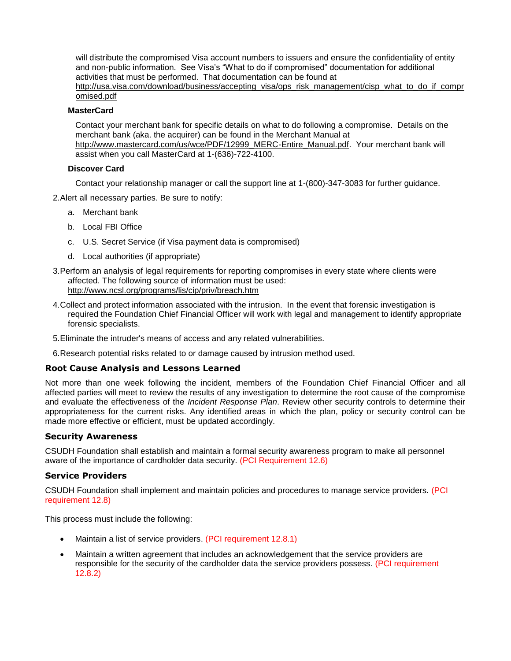will distribute the compromised Visa account numbers to issuers and ensure the confidentiality of entity and non-public information. See Visa's "What to do if compromised" documentation for additional activities that must be performed. That documentation can be found at

[http://usa.visa.com/download/business/accepting\\_visa/ops\\_risk\\_management/cisp\\_what\\_to\\_do\\_if\\_compr](http://usa.visa.com/download/business/accepting_visa/ops_risk_management/cisp_what_to_do_if_compromised.pdf) [omised.pdf](http://usa.visa.com/download/business/accepting_visa/ops_risk_management/cisp_what_to_do_if_compromised.pdf)

### **MasterCard**

Contact your merchant bank for specific details on what to do following a compromise. Details on the merchant bank (aka. the acquirer) can be found in the Merchant Manual at

[http://www.mastercard.com/us/wce/PDF/12999\\_MERC-Entire\\_Manual.pdf.](http://www.mastercard.com/us/wce/PDF/12999_MERC-Entire_Manual.pdf) Your merchant bank will assist when you call MasterCard at 1-(636)-722-4100.

#### **Discover Card**

Contact your relationship manager or call the support line at 1-(800)-347-3083 for further guidance.

2.Alert all necessary parties. Be sure to notify:

- a. Merchant bank
- b. Local FBI Office
- c. U.S. Secret Service (if Visa payment data is compromised)
- d. Local authorities (if appropriate)
- 3.Perform an analysis of legal requirements for reporting compromises in every state where clients were affected. The following source of information must be used: <http://www.ncsl.org/programs/lis/cip/priv/breach.htm>
- 4.Collect and protect information associated with the intrusion. In the event that forensic investigation is required the Foundation Chief Financial Officer will work with legal and management to identify appropriate forensic specialists.
- 5.Eliminate the intruder's means of access and any related vulnerabilities.

6.Research potential risks related to or damage caused by intrusion method used.

#### **Root Cause Analysis and Lessons Learned**

Not more than one week following the incident, members of the Foundation Chief Financial Officer and all affected parties will meet to review the results of any investigation to determine the root cause of the compromise and evaluate the effectiveness of the *Incident Response Plan*. Review other security controls to determine their appropriateness for the current risks. Any identified areas in which the plan, policy or security control can be made more effective or efficient, must be updated accordingly.

#### **Security Awareness**

CSUDH Foundation shall establish and maintain a formal security awareness program to make all personnel aware of the importance of cardholder data security. (PCI Requirement 12.6)

#### **Service Providers**

CSUDH Foundation shall implement and maintain policies and procedures to manage service providers. (PCI requirement 12.8)

This process must include the following:

- Maintain a list of service providers. (PCI requirement 12.8.1)
- Maintain a written agreement that includes an acknowledgement that the service providers are responsible for the security of the cardholder data the service providers possess. (PCI requirement 12.8.2)